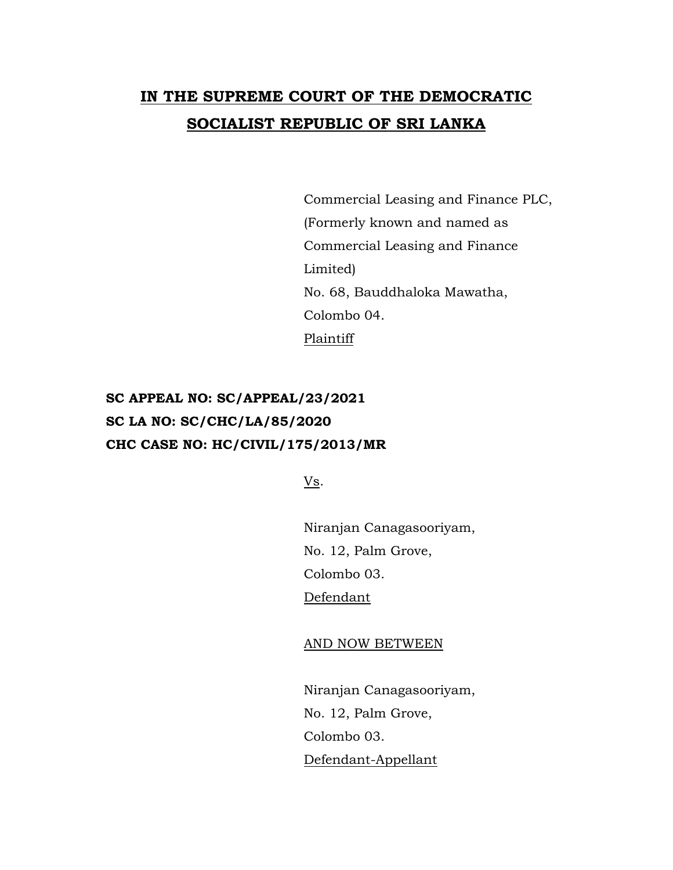## **IN THE SUPREME COURT OF THE DEMOCRATIC SOCIALIST REPUBLIC OF SRI LANKA**

Commercial Leasing and Finance PLC, (Formerly known and named as Commercial Leasing and Finance Limited) No. 68, Bauddhaloka Mawatha, Colombo 04. Plaintiff

## **SC APPEAL NO: SC/APPEAL/23/2021 SC LA NO: SC/CHC/LA/85/2020 CHC CASE NO: HC/CIVIL/175/2013/MR**

Vs.

Niranjan Canagasooriyam, No. 12, Palm Grove, Colombo 03. Defendant

AND NOW BETWEEN

Niranjan Canagasooriyam, No. 12, Palm Grove, Colombo 03. Defendant-Appellant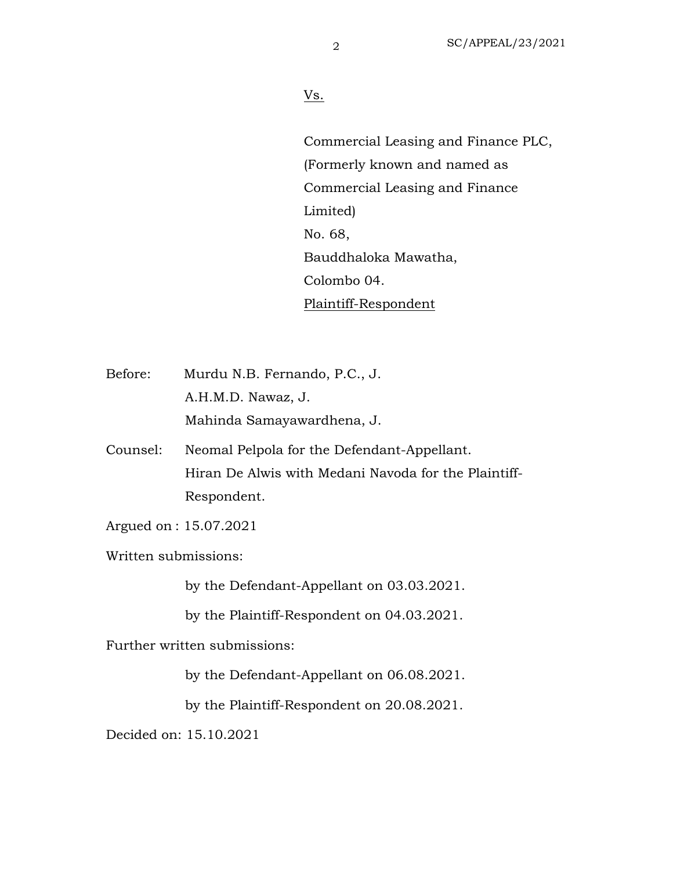## Vs.

Commercial Leasing and Finance PLC, (Formerly known and named as Commercial Leasing and Finance Limited) No. 68, Bauddhaloka Mawatha, Colombo 04. Plaintiff-Respondent

Before: Murdu N.B. Fernando, P.C., J. A.H.M.D. Nawaz, J. Mahinda Samayawardhena, J.

- Counsel: Neomal Pelpola for the Defendant-Appellant. Hiran De Alwis with Medani Navoda for the Plaintiff-Respondent.
- Argued on : 15.07.2021
- Written submissions:

by the Defendant-Appellant on 03.03.2021.

by the Plaintiff-Respondent on 04.03.2021.

Further written submissions:

by the Defendant-Appellant on 06.08.2021.

by the Plaintiff-Respondent on 20.08.2021.

Decided on: 15.10.2021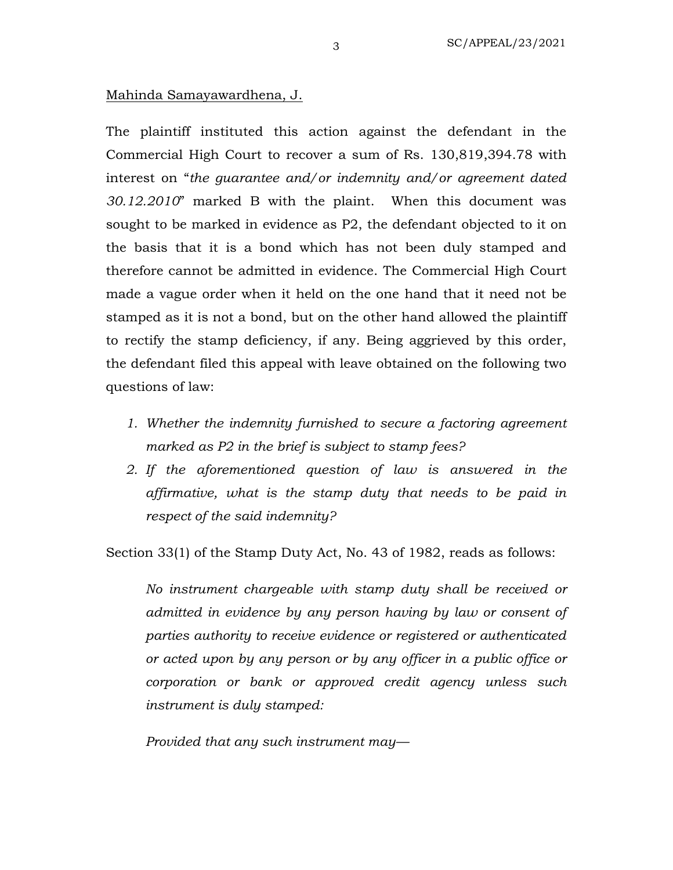## Mahinda Samayawardhena, J.

The plaintiff instituted this action against the defendant in the Commercial High Court to recover a sum of Rs. 130,819,394.78 with interest on "*the guarantee and/or indemnity and/or agreement dated 30.12.2010*" marked B with the plaint. When this document was sought to be marked in evidence as P2, the defendant objected to it on the basis that it is a bond which has not been duly stamped and therefore cannot be admitted in evidence. The Commercial High Court made a vague order when it held on the one hand that it need not be stamped as it is not a bond, but on the other hand allowed the plaintiff to rectify the stamp deficiency, if any. Being aggrieved by this order, the defendant filed this appeal with leave obtained on the following two questions of law:

- *1. Whether the indemnity furnished to secure a factoring agreement marked as P2 in the brief is subject to stamp fees?*
- *2. If the aforementioned question of law is answered in the affirmative, what is the stamp duty that needs to be paid in respect of the said indemnity?*

Section 33(1) of the Stamp Duty Act, No. 43 of 1982, reads as follows:

*No instrument chargeable with stamp duty shall be received or admitted in evidence by any person having by law or consent of parties authority to receive evidence or registered or authenticated or acted upon by any person or by any officer in a public office or corporation or bank or approved credit agency unless such instrument is duly stamped:*

*Provided that any such instrument may—*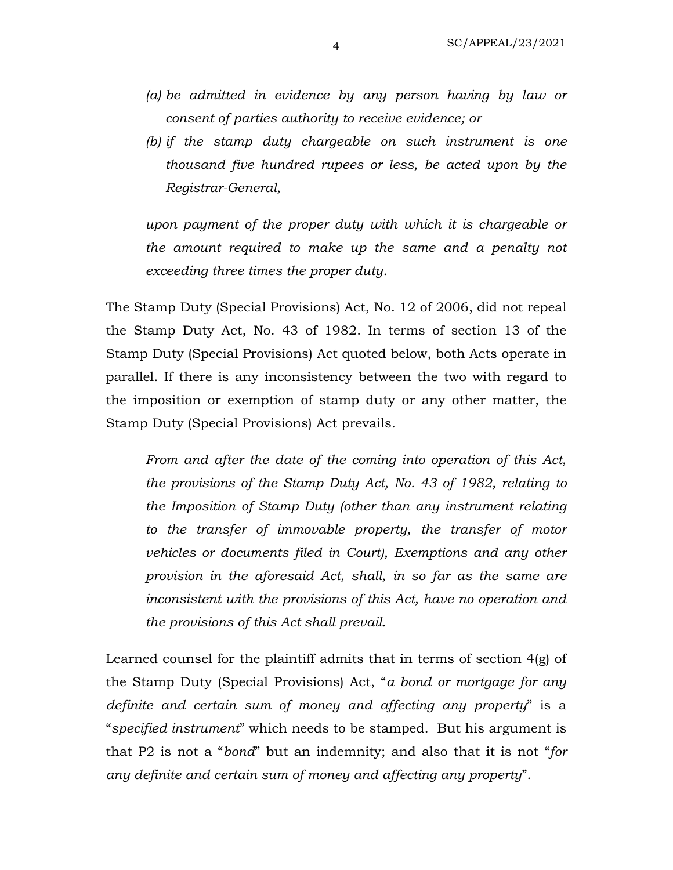- *(a) be admitted in evidence by any person having by law or consent of parties authority to receive evidence; or*
- *(b) if the stamp duty chargeable on such instrument is one thousand five hundred rupees or less, be acted upon by the Registrar-General,*

*upon payment of the proper duty with which it is chargeable or the amount required to make up the same and a penalty not exceeding three times the proper duty.*

The Stamp Duty (Special Provisions) Act, No. 12 of 2006, did not repeal the Stamp Duty Act, No. 43 of 1982. In terms of section 13 of the Stamp Duty (Special Provisions) Act quoted below, both Acts operate in parallel. If there is any inconsistency between the two with regard to the imposition or exemption of stamp duty or any other matter, the Stamp Duty (Special Provisions) Act prevails.

*From and after the date of the coming into operation of this Act, the provisions of the Stamp Duty Act, No. 43 of 1982, relating to the Imposition of Stamp Duty (other than any instrument relating to the transfer of immovable property, the transfer of motor vehicles or documents filed in Court), Exemptions and any other provision in the aforesaid Act, shall, in so far as the same are inconsistent with the provisions of this Act, have no operation and the provisions of this Act shall prevail.*

Learned counsel for the plaintiff admits that in terms of section 4(g) of the Stamp Duty (Special Provisions) Act, "*a bond or mortgage for any definite and certain sum of money and affecting any property*" is a "*specified instrument*" which needs to be stamped. But his argument is that P2 is not a "*bond*" but an indemnity; and also that it is not "*for any definite and certain sum of money and affecting any property*".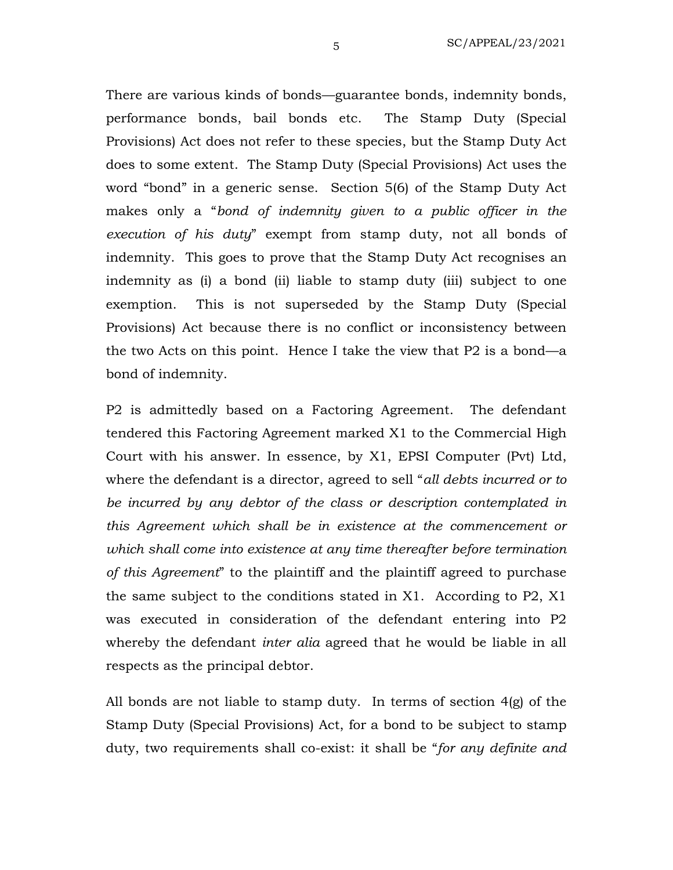There are various kinds of bonds—guarantee bonds, indemnity bonds, performance bonds, bail bonds etc. The Stamp Duty (Special Provisions) Act does not refer to these species, but the Stamp Duty Act does to some extent. The Stamp Duty (Special Provisions) Act uses the word "bond" in a generic sense. Section 5(6) of the Stamp Duty Act makes only a "*bond of indemnity given to a public officer in the execution of his duty*" exempt from stamp duty, not all bonds of indemnity. This goes to prove that the Stamp Duty Act recognises an indemnity as (i) a bond (ii) liable to stamp duty (iii) subject to one exemption. This is not superseded by the Stamp Duty (Special Provisions) Act because there is no conflict or inconsistency between the two Acts on this point. Hence I take the view that P2 is a bond—a bond of indemnity.

P2 is admittedly based on a Factoring Agreement. The defendant tendered this Factoring Agreement marked X1 to the Commercial High Court with his answer. In essence, by X1, EPSI Computer (Pvt) Ltd, where the defendant is a director, agreed to sell "*all debts incurred or to be incurred by any debtor of the class or description contemplated in this Agreement which shall be in existence at the commencement or which shall come into existence at any time thereafter before termination of this Agreement*" to the plaintiff and the plaintiff agreed to purchase the same subject to the conditions stated in X1. According to P2, X1 was executed in consideration of the defendant entering into P2 whereby the defendant *inter alia* agreed that he would be liable in all respects as the principal debtor.

All bonds are not liable to stamp duty. In terms of section 4(g) of the Stamp Duty (Special Provisions) Act, for a bond to be subject to stamp duty, two requirements shall co-exist: it shall be "*for any definite and*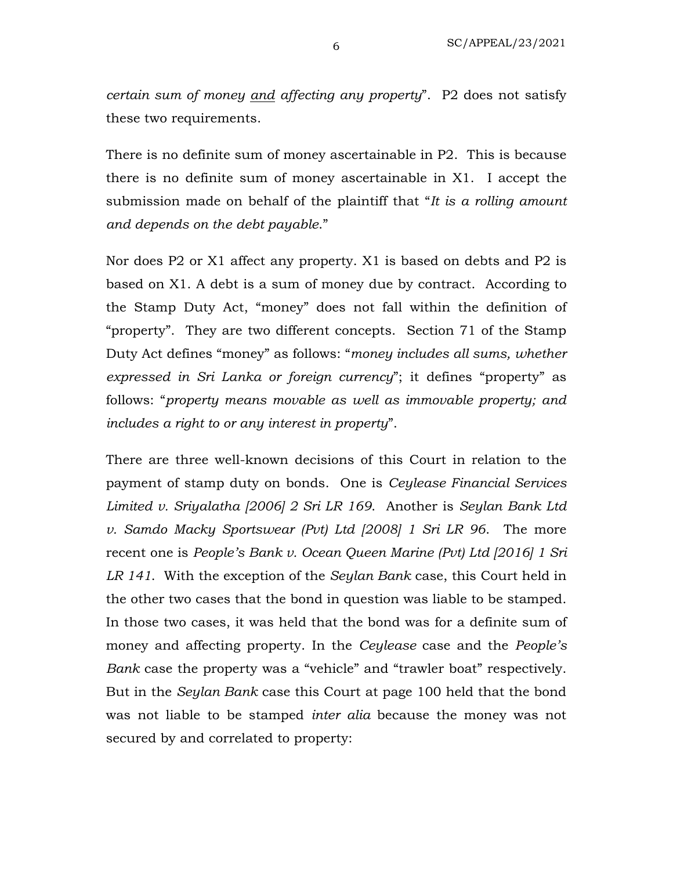*certain sum of money and affecting any property*". P2 does not satisfy these two requirements.

There is no definite sum of money ascertainable in P2. This is because there is no definite sum of money ascertainable in X1. I accept the submission made on behalf of the plaintiff that "*It is a rolling amount and depends on the debt payable*."

Nor does P2 or X1 affect any property. X1 is based on debts and P2 is based on X1. A debt is a sum of money due by contract. According to the Stamp Duty Act, "money" does not fall within the definition of "property". They are two different concepts. Section 71 of the Stamp Duty Act defines "money" as follows: "*money includes all sums, whether expressed in Sri Lanka or foreign currency*"; it defines "property" as follows: "*property means movable as well as immovable property; and includes a right to or any interest in property*".

There are three well-known decisions of this Court in relation to the payment of stamp duty on bonds. One is *Ceylease Financial Services Limited v. Sriyalatha [2006] 2 Sri LR 169*. Another is *Seylan Bank Ltd v. Samdo Macky Sportswear (Pvt) Ltd [2008] 1 Sri LR 96*. The more recent one is *People's Bank v. Ocean Queen Marine (Pvt) Ltd [2016] 1 Sri LR 141*. With the exception of the *Seylan Bank* case, this Court held in the other two cases that the bond in question was liable to be stamped. In those two cases, it was held that the bond was for a definite sum of money and affecting property. In the *Ceylease* case and the *People's Bank* case the property was a "vehicle" and "trawler boat" respectively. But in the *Seylan Bank* case this Court at page 100 held that the bond was not liable to be stamped *inter alia* because the money was not secured by and correlated to property: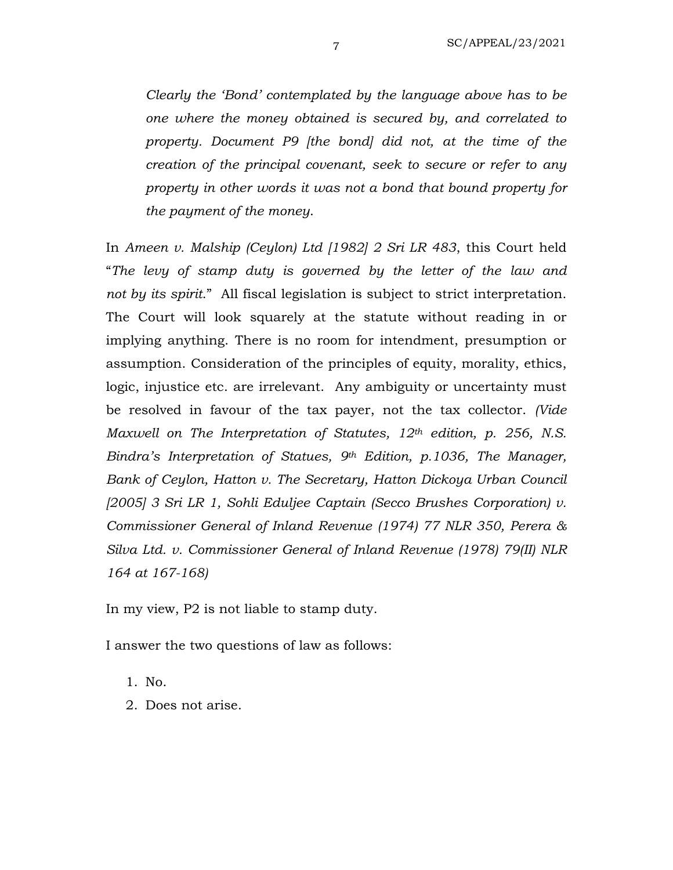*Clearly the 'Bond' contemplated by the language above has to be one where the money obtained is secured by, and correlated to property. Document P9 [the bond] did not, at the time of the creation of the principal covenant, seek to secure or refer to any property in other words it was not a bond that bound property for the payment of the money*.

In *Ameen v. Malship (Ceylon) Ltd [1982] 2 Sri LR 483*, this Court held "*The levy of stamp duty is governed by the letter of the law and not by its spirit*." All fiscal legislation is subject to strict interpretation. The Court will look squarely at the statute without reading in or implying anything. There is no room for intendment, presumption or assumption. Consideration of the principles of equity, morality, ethics, logic, injustice etc. are irrelevant. Any ambiguity or uncertainty must be resolved in favour of the tax payer, not the tax collector. *(Vide Maxwell on The Interpretation of Statutes, 12th edition, p. 256, N.S. Bindra's Interpretation of Statues, 9th Edition, p.1036, The Manager, Bank of Ceylon, Hatton v. The Secretary, Hatton Dickoya Urban Council [2005] 3 Sri LR 1, Sohli Eduljee Captain (Secco Brushes Corporation) v. Commissioner General of Inland Revenue (1974) 77 NLR 350, Perera & Silva Ltd. v. Commissioner General of Inland Revenue (1978) 79(II) NLR 164 at 167-168)*

In my view, P2 is not liable to stamp duty.

I answer the two questions of law as follows:

- 1. No.
- 2. Does not arise.